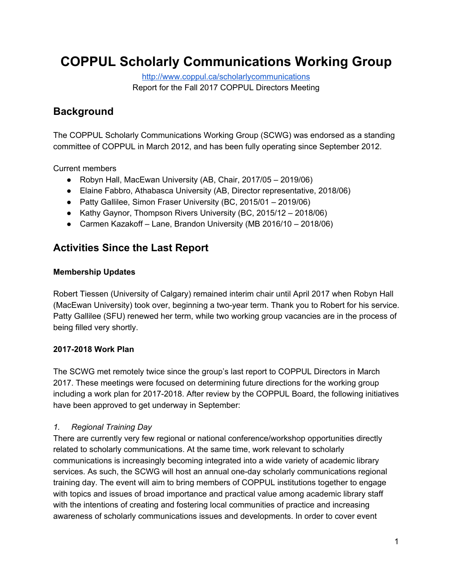# **COPPUL Scholarly Communications Working Group**

<http://www.coppul.ca/scholarlycommunications> Report for the Fall 2017 COPPUL Directors Meeting

# **Background**

The COPPUL Scholarly Communications Working Group (SCWG) was endorsed as a standing committee of COPPUL in March 2012, and has been fully operating since September 2012.

Current members

- Robyn Hall, MacEwan University (AB, Chair, 2017/05 2019/06)
- Elaine Fabbro, Athabasca University (AB, Director representative, 2018/06)
- Patty Gallilee, Simon Fraser University (BC, 2015/01 2019/06)
- Kathy Gaynor, Thompson Rivers University (BC, 2015/12 2018/06)
- Carmen Kazakoff Lane, Brandon University (MB 2016/10 2018/06)

# **Activities Since the Last Report**

#### **Membership Updates**

Robert Tiessen (University of Calgary) remained interim chair until April 2017 when Robyn Hall (MacEwan University) took over, beginning a two-year term. Thank you to Robert for his service. Patty Gallilee (SFU) renewed her term, while two working group vacancies are in the process of being filled very shortly.

## **2017-2018 Work Plan**

The SCWG met remotely twice since the group's last report to COPPUL Directors in March 2017. These meetings were focused on determining future directions for the working group including a work plan for 2017-2018. After review by the COPPUL Board, the following initiatives have been approved to get underway in September:

## *1. Regional Training Day*

There are currently very few regional or national conference/workshop opportunities directly related to scholarly communications. At the same time, work relevant to scholarly communications is increasingly becoming integrated into a wide variety of academic library services. As such, the SCWG will host an annual one-day scholarly communications regional training day. The event will aim to bring members of COPPUL institutions together to engage with topics and issues of broad importance and practical value among academic library staff with the intentions of creating and fostering local communities of practice and increasing awareness of scholarly communications issues and developments. In order to cover event